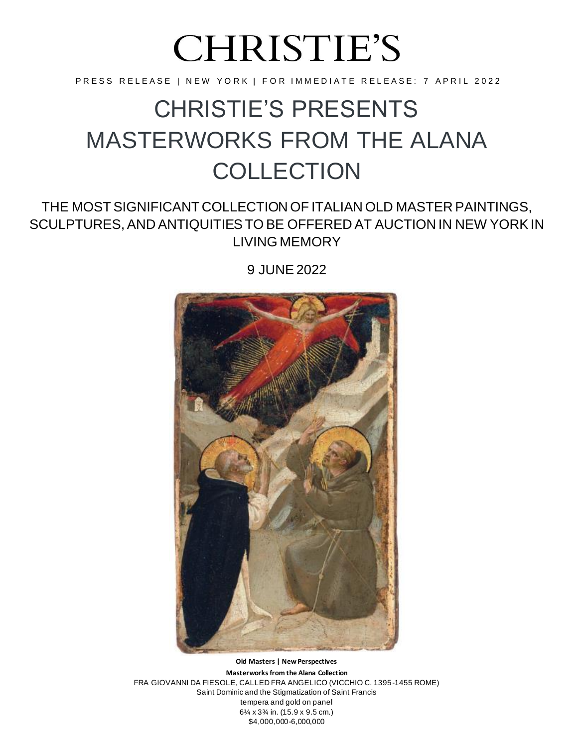# **CHRISTIE'S**

PRESS RELEASE | NEW YORK | FOR IMMEDIATE RELEASE: 7 APRIL 2022

# CHRISTIE'S PRESENTS MASTERWORKS FROM THE ALANA **COLLECTION**

## THE MOST SIGNIFICANT COLLECTION OF ITALIAN OLD MASTER PAINTINGS, SCULPTURES, AND ANTIQUITIESTO BE OFFERED AT AUCTION IN NEW YORKIN LIVING MEMORY

9 JUNE 2022



**Old Masters | New Perspectives Masterworks from the Alana Collection** FRA GIOVANNI DA FIESOLE, CALLED FRA ANGELICO (VICCHIO C. 1395-1455 ROME) Saint Dominic and the Stigmatization of Saint Francis tempera and gold on panel 6¼ x 3¾ in. (15.9 x 9.5 cm.) \$4,000,000-6,000,000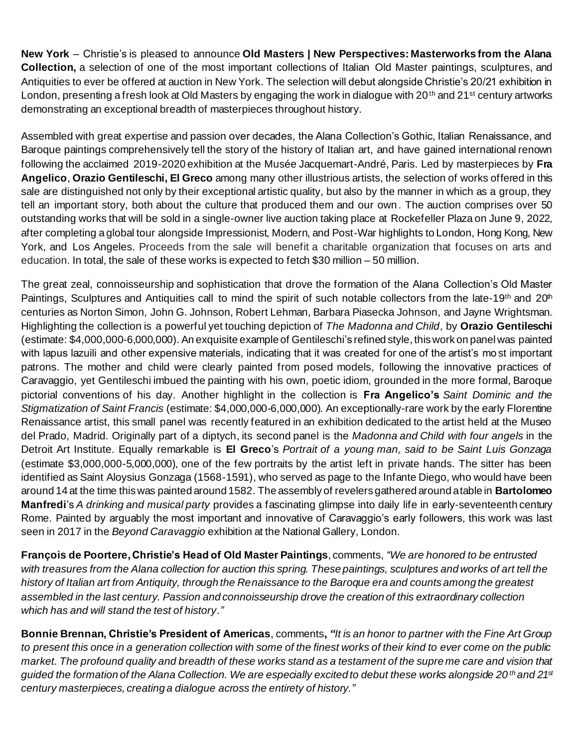**New York** – Christie's is pleased to announce **Old Masters | New Perspectives: Masterworks from the Alana Collection,** a selection of one of the most important collections of Italian Old Master paintings, sculptures, and Antiquities to ever be offered at auction in New York. The selection will debut alongside Christie's 20/21 exhibition in London, presenting a fresh look at Old Masters by engaging the work in dialogue with 20<sup>th</sup> and 21<sup>st</sup> century artworks demonstrating an exceptional breadth of masterpieces throughout history.

Assembled with great expertise and passion over decades, the Alana Collection's Gothic, Italian Renaissance, and Baroque paintings comprehensively tell the story of the history of Italian art, and have gained international renown following the acclaimed 2019-2020 exhibition at the Musée Jacquemart-André, Paris. Led by masterpieces by **Fra Angelico**, **Orazio Gentileschi, El Greco** among many other illustrious artists, the selection of works offered in this sale are distinguished not only by their exceptional artistic quality, but also by the manner in which as a group, they tell an important story, both about the culture that produced them and our own. The auction comprises over 50 outstanding works that will be sold in a single-owner live auction taking place at Rockefeller Plaza on June 9, 2022, after completing a global tour alongside Impressionist, Modern, and Post-War highlights to London, Hong Kong, New York, and Los Angeles. Proceeds from the sale will benefit a charitable organization that focuses on arts and education. In total, the sale of these works is expected to fetch \$30 million – 50 million.

The great zeal, connoisseurship and sophistication that drove the formation of the Alana Collection's Old Master Paintings, Sculptures and Antiquities call to mind the spirit of such notable collectors from the late-19th and 20th centuries as Norton Simon, John G. Johnson, Robert Lehman, Barbara Piasecka Johnson, and Jayne Wrightsman. Highlighting the collection is a powerful yet touching depiction of *The Madonna and Child*, by **Orazio Gentileschi**  (estimate: \$4,000,000-6,000,000).An exquisite example of Gentileschi's refined style, this work on panel was painted with lapus lazuili and other expensive materials, indicating that it was created for one of the artist's mo st important patrons. The mother and child were clearly painted from posed models, following the innovative practices of Caravaggio, yet Gentileschi imbued the painting with his own, poetic idiom, grounded in the more formal, Baroque pictorial conventions of his day. Another highlight in the collection is **Fra Angelico's** *Saint Dominic and the Stigmatization of Saint Francis* (estimate: \$4,000,000-6,000,000)*.* An exceptionally-rare work by the early Florentine Renaissance artist, this small panel was recently featured in an exhibition dedicated to the artist held at the Museo del Prado, Madrid. Originally part of a diptych, its second panel is the *Madonna and Child with four angels* in the Detroit Art Institute. Equally remarkable is **El Greco**'s *Portrait of a young man, said to be Saint Luis Gonzaga*  (estimate \$3,000,000-5,000,000), one of the few portraits by the artist left in private hands. The sitter has been identified as Saint Aloysius Gonzaga (1568-1591), who served as page to the Infante Diego, who would have been around 14 at the time this was painted around 1582. The assembly of revelers gathered around a table in **Bartolomeo Manfredi**'s *A drinking and musical party* provides a fascinating glimpse into daily life in early-seventeenth century Rome. Painted by arguably the most important and innovative of Caravaggio's early followers, this work was last seen in 2017 in the *Beyond Caravaggio* exhibition at the National Gallery, London.

**François de Poortere, Christie's Head of Old Master Paintings**, comments, *"We are honored to be entrusted with treasures from the Alana collection for auction this spring. These paintings, sculptures and works of art tell the history of Italian art from Antiquity, through the Renaissance to the Baroque era and counts among the greatest assembled in the last century. Passion and connoisseurship drove the creation of this extraordinary collection which has and will stand the test of history."*

**Bonnie Brennan, Christie's President of Americas**, comments**,** *"It is an honor to partner with the Fine Art Group to present this once in a generation collection with some of the finest works of their kind to ever come on the public market. The profound quality and breadth of these works stand as a testament of the supre me care and vision that guided the formation of the Alana Collection. We are especially excited to debut these works alongside 20 th and 21st century masterpieces, creating a dialogue across the entirety of history."*